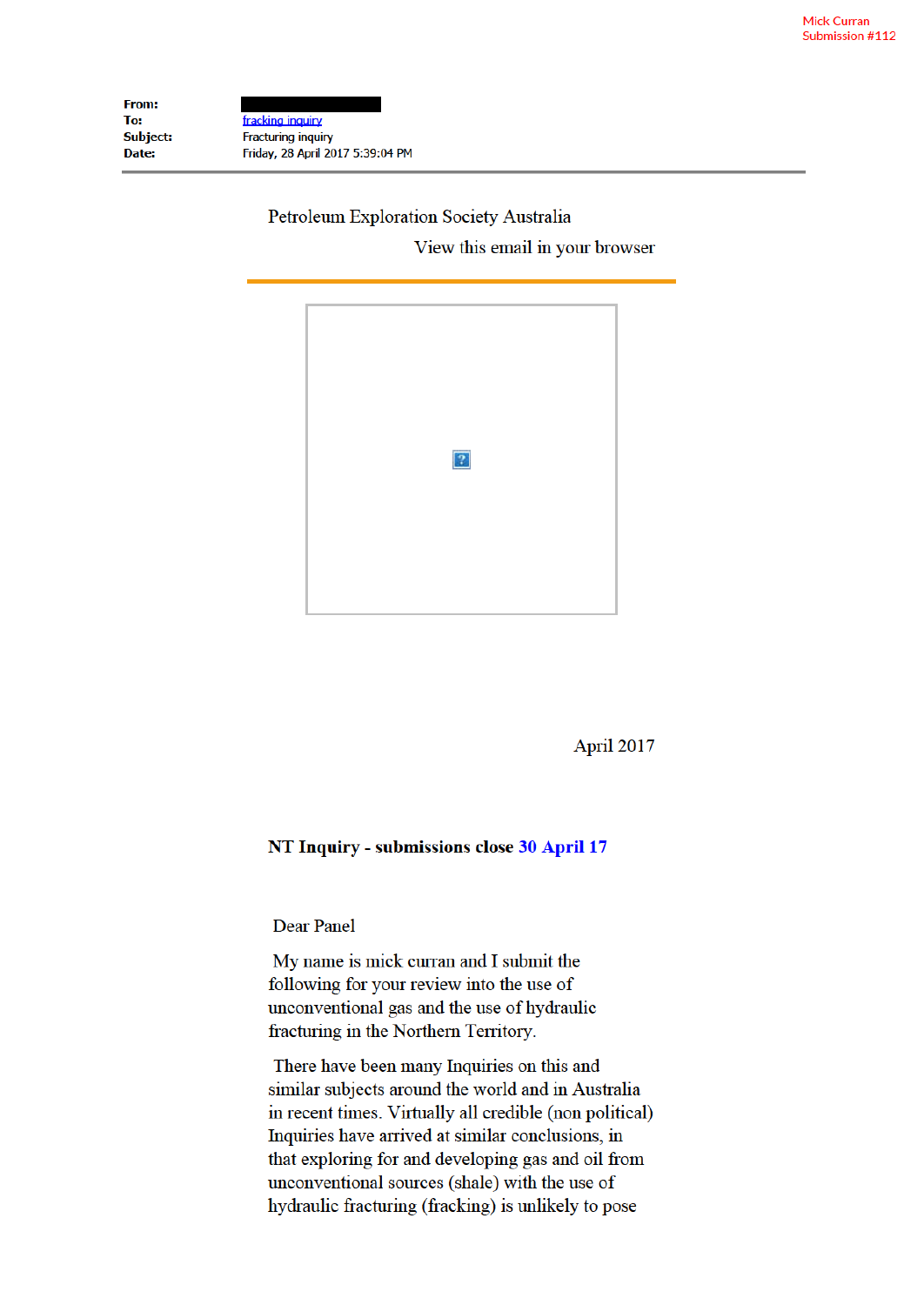| <b>From:</b> |                                  |
|--------------|----------------------------------|
| To:          | fracking inquiry                 |
| Subject:     | <b>Fracturing inquiry</b>        |
| Date:        | Friday, 28 April 2017 5:39:04 PM |

## Petroleum Exploration Society Australia View this email in your browser



April 2017

## NT Inquiry - submissions close 30 April 17

Dear Panel

My name is mick curran and I submit the following for your review into the use of unconventional gas and the use of hydraulic fracturing in the Northern Territory.

There have been many Inquiries on this and similar subjects around the world and in Australia in recent times. Virtually all credible (non political) Inquiries have arrived at similar conclusions, in that exploring for and developing gas and oil from unconventional sources (shale) with the use of hydraulic fracturing (fracking) is unlikely to pose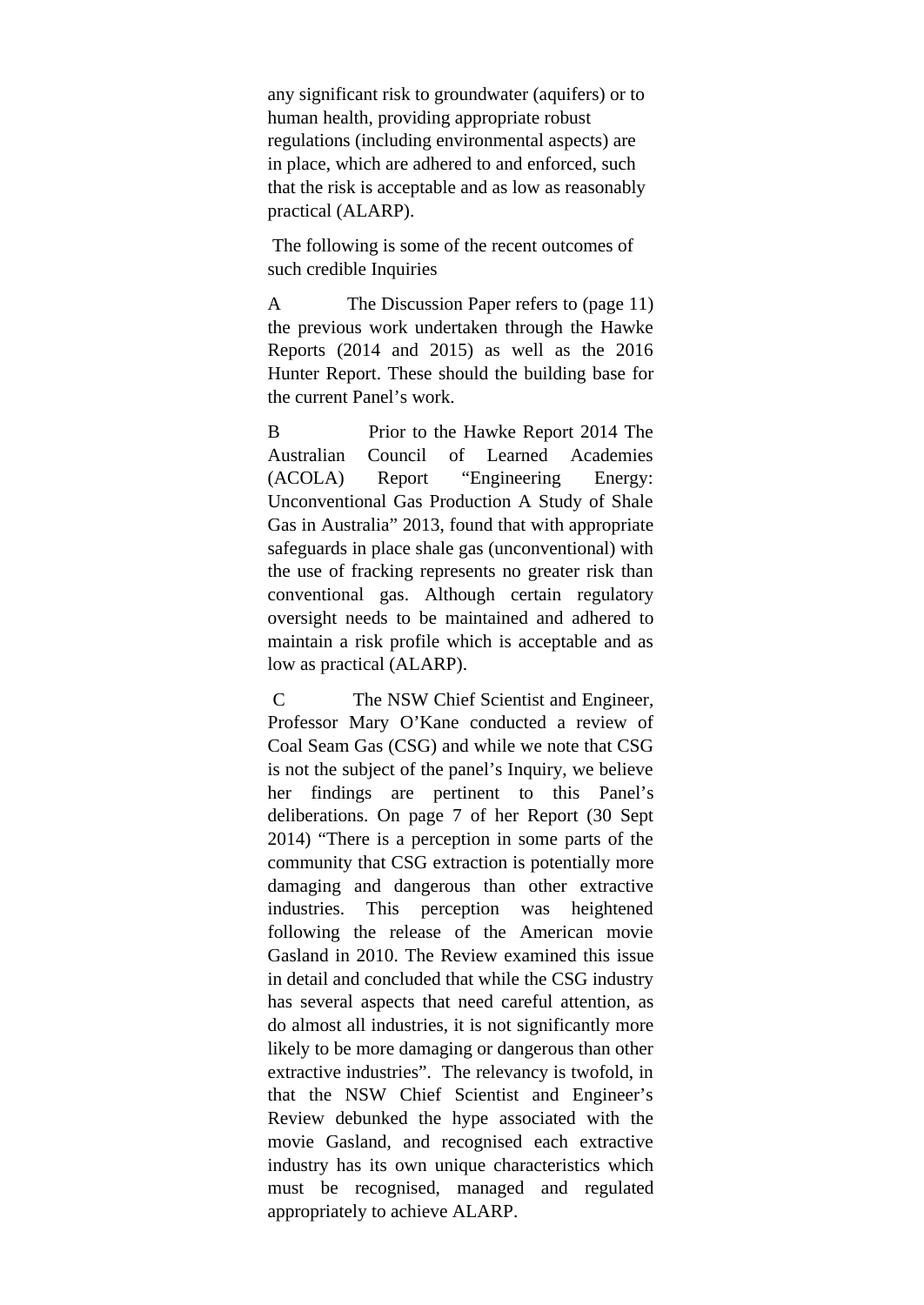any significant risk to groundwater (aquifers) or to human health, providing appropriate robust regulations (including environmental aspects) are in place, which are adhered to and enforced, such that the risk is acceptable and as low as reasonably practical (ALARP).

The following is some of the recent outcomes of such credible Inquiries

A The Discussion Paper refers to (page 11) the previous work undertaken through the Hawke Reports (2014 and 2015) as well as the 2016 Hunter Report. These should the building base for the current Panel's work.

B Prior to the Hawke Report 2014 The Australian Council of Learned Academies (ACOLA) Report "Engineering Energy: Unconventional Gas Production A Study of Shale Gas in Australia" 2013, found that with appropriate safeguards in place shale gas (unconventional) with the use of fracking represents no greater risk than conventional gas. Although certain regulatory oversight needs to be maintained and adhered to maintain a risk profile which is acceptable and as low as practical (ALARP).

C The NSW Chief Scientist and Engineer, Professor Mary O'Kane conducted a review of Coal Seam Gas (CSG) and while we note that CSG is not the subject of the panel's Inquiry, we believe her findings are pertinent to this Panel's deliberations. On page 7 of her Report (30 Sept 2014) "There is a perception in some parts of the community that CSG extraction is potentially more damaging and dangerous than other extractive industries. This perception was heightened following the release of the American movie Gasland in 2010. The Review examined this issue in detail and concluded that while the CSG industry has several aspects that need careful attention, as do almost all industries, it is not significantly more likely to be more damaging or dangerous than other extractive industries". The relevancy is twofold, in that the NSW Chief Scientist and Engineer's Review debunked the hype associated with the movie Gasland, and recognised each extractive industry has its own unique characteristics which must be recognised, managed and regulated appropriately to achieve ALARP.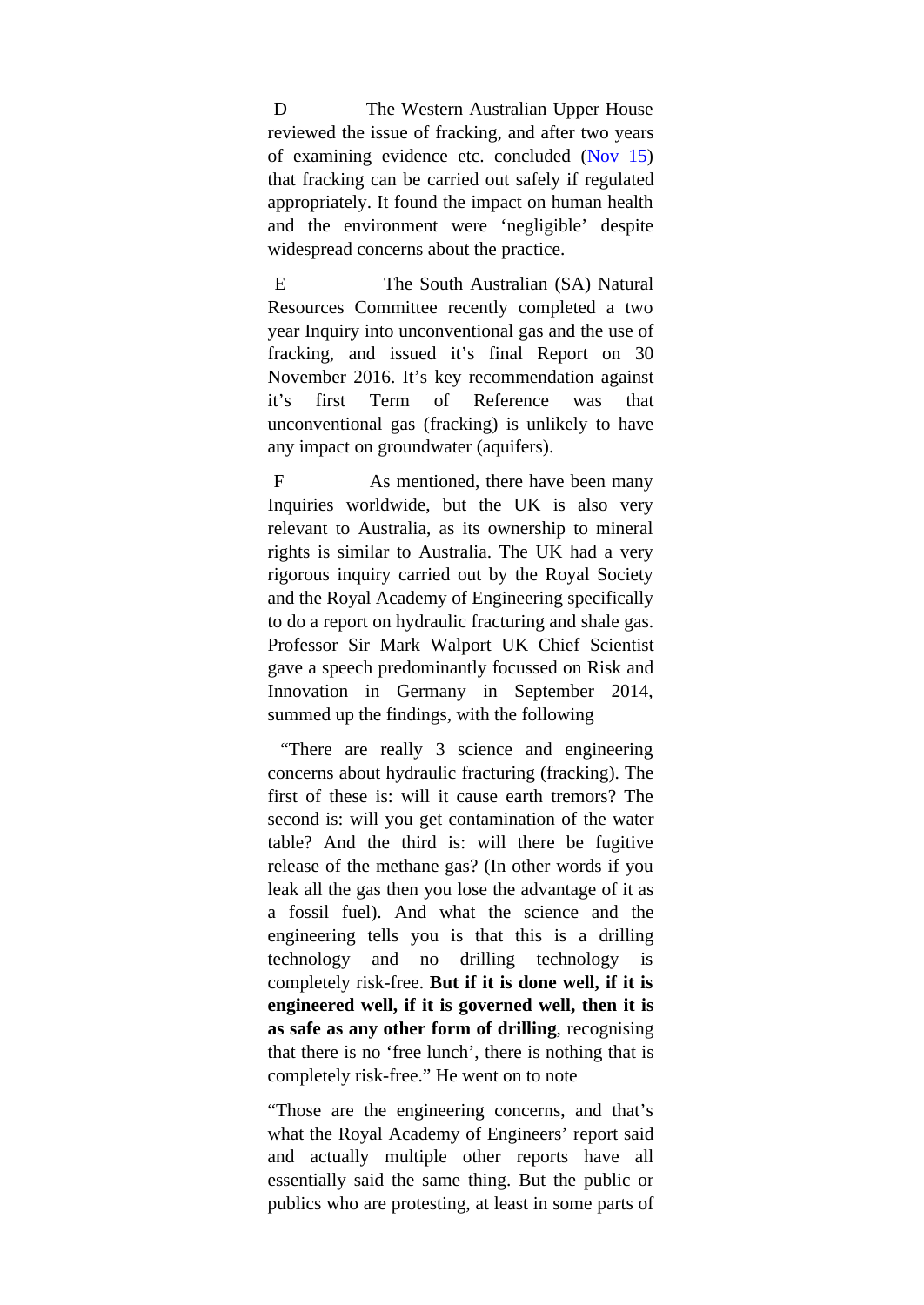D The Western Australian Upper House reviewed the issue of fracking, and after two years of examining evidence etc. concluded (Nov 15) that fracking can be carried out safely if regulated appropriately. It found the impact on human health and the environment were 'negligible' despite widespread concerns about the practice.

E The South Australian (SA) Natural Resources Committee recently completed a two year Inquiry into unconventional gas and the use of fracking, and issued it's final Report on 30 November 2016. It's key recommendation against it's first Term of Reference was that unconventional gas (fracking) is unlikely to have any impact on groundwater (aquifers).

F As mentioned, there have been many Inquiries worldwide, but the UK is also very relevant to Australia, as its ownership to mineral rights is similar to Australia. The UK had a very rigorous inquiry carried out by the Royal Society and the Royal Academy of Engineering specifically to do a report on hydraulic fracturing and shale gas. Professor Sir Mark Walport UK Chief Scientist gave a speech predominantly focussed on Risk and Innovation in Germany in September 2014, summed up the findings, with the following

"There are really 3 science and engineering concerns about hydraulic fracturing (fracking). The first of these is: will it cause earth tremors? The second is: will you get contamination of the water table? And the third is: will there be fugitive release of the methane gas? (In other words if you leak all the gas then you lose the advantage of it as a fossil fuel). And what the science and the engineering tells you is that this is a drilling technology and no drilling technology is completely risk-free. **But if it is done well, if it is engineered well, if it is governed well, then it is as safe as any other form of drilling**, recognising that there is no 'free lunch', there is nothing that is completely risk-free." He went on to note

"Those are the engineering concerns, and that's what the Royal Academy of Engineers' report said and actually multiple other reports have all essentially said the same thing. But the public or publics who are protesting, at least in some parts of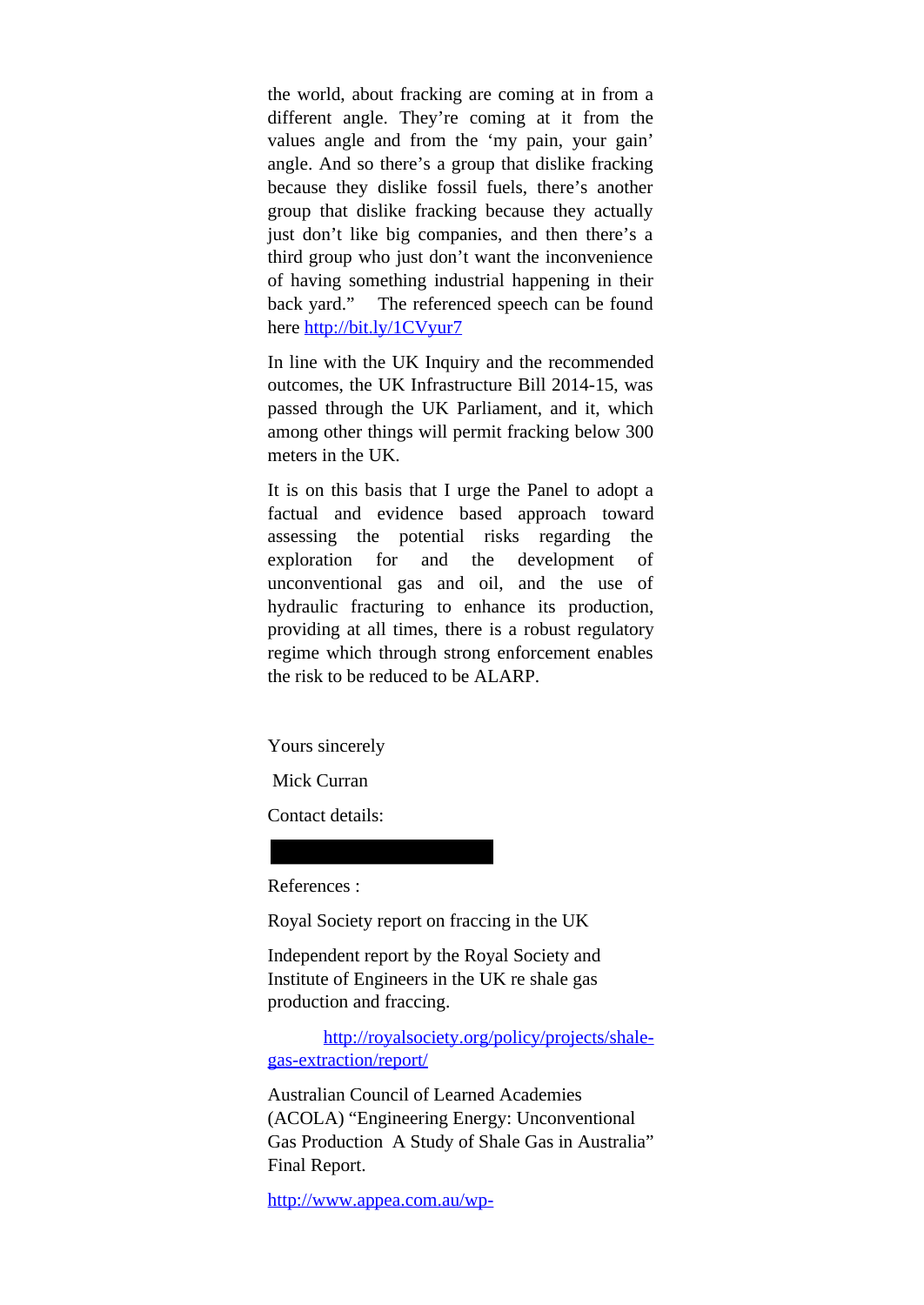the world, about fracking are coming at in from a different angle. They're coming at it from the values angle and from the 'my pain, your gain' angle. And so there's a group that dislike fracking because they dislike fossil fuels, there's another group that dislike fracking because they actually just don't like big companies, and then there's a third group who just don't want the inconvenience of having something industrial happening in their back yard." The referenced speech can be found here http://bit.ly/1CVyur7

In line with the UK Inquiry and the recommended outcomes, the UK Infrastructure Bill 2014-15, was passed through the UK Parliament, and it, which among other things will permit fracking below 300 meters in the UK.

It is on this basis that I urge the Panel to adopt a factual and evidence based approach toward assessing the potential risks regarding the exploration for and the development of unconventional gas and oil, and the use of hydraulic fracturing to enhance its production, providing at all times, there is a robust regulatory regime which through strong enforcement enables the risk to be reduced to be ALARP.

Yours sincerely

Mick Curran

Contact details:

References :

Royal Society report on fraccing in the UK

Independent report by the Royal Society and Institute of Engineers in the UK re shale gas production and fraccing.

http://royalsociety.org/policy/projects/shalegas-extraction/report/

Australian Council of Learned Academies (ACOLA) "Engineering Energy: Unconventional Gas Production A Study of Shale Gas in Australia" Final Report.

http://www.appea.com.au/wp-